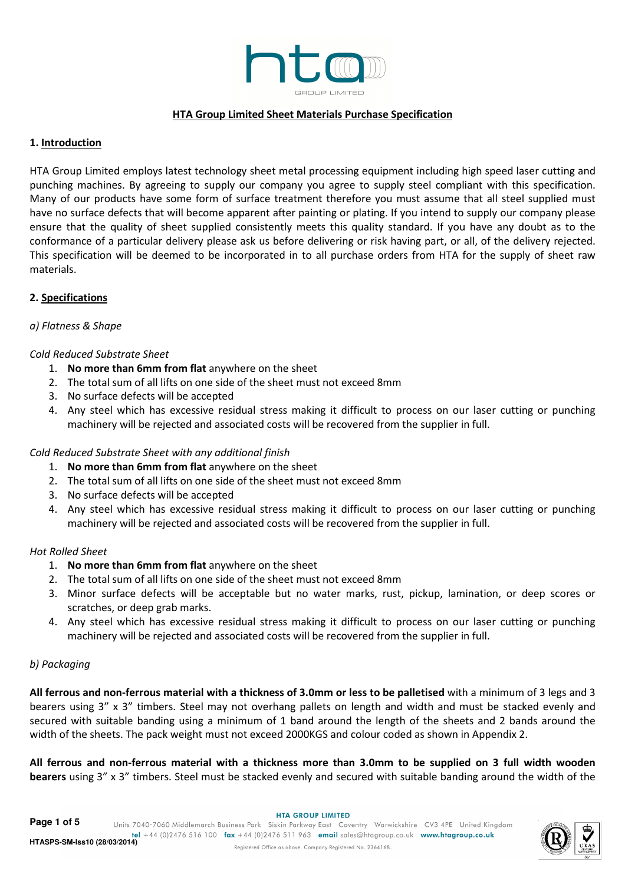

#### HTA Group Limited Sheet Materials Purchase Specification

#### 1. Introduction

HTA Group Limited employs latest technology sheet metal processing equipment including high speed laser cutting and punching machines. By agreeing to supply our company you agree to supply steel compliant with this specification. Many of our products have some form of surface treatment therefore you must assume that all steel supplied must have no surface defects that will become apparent after painting or plating. If you intend to supply our company please ensure that the quality of sheet supplied consistently meets this quality standard. If you have any doubt as to the conformance of a particular delivery please ask us before delivering or risk having part, or all, of the delivery rejected. This specification will be deemed to be incorporated in to all purchase orders from HTA for the supply of sheet raw materials.

## 2. Specifications

#### a) Flatness & Shape

#### Cold Reduced Substrate Sheet

- 1. No more than 6mm from flat anywhere on the sheet
- 2. The total sum of all lifts on one side of the sheet must not exceed 8mm
- 3. No surface defects will be accepted
- 4. Any steel which has excessive residual stress making it difficult to process on our laser cutting or punching machinery will be rejected and associated costs will be recovered from the supplier in full.

#### Cold Reduced Substrate Sheet with any additional finish

- 1. No more than 6mm from flat anywhere on the sheet
- 2. The total sum of all lifts on one side of the sheet must not exceed 8mm
- 3. No surface defects will be accepted
- 4. Any steel which has excessive residual stress making it difficult to process on our laser cutting or punching machinery will be rejected and associated costs will be recovered from the supplier in full.

#### Hot Rolled Sheet

- 1. No more than 6mm from flat anywhere on the sheet
- 2. The total sum of all lifts on one side of the sheet must not exceed 8mm
- 3. Minor surface defects will be acceptable but no water marks, rust, pickup, lamination, or deep scores or scratches, or deep grab marks.
- 4. Any steel which has excessive residual stress making it difficult to process on our laser cutting or punching machinery will be rejected and associated costs will be recovered from the supplier in full.

## b) Packaging

All ferrous and non-ferrous material with a thickness of 3.0mm or less to be palletised with a minimum of 3 legs and 3 bearers using 3" x 3" timbers. Steel may not overhang pallets on length and width and must be stacked evenly and secured with suitable banding using a minimum of 1 band around the length of the sheets and 2 bands around the width of the sheets. The pack weight must not exceed 2000KGS and colour coded as shown in Appendix 2.

All ferrous and non-ferrous material with a thickness more than 3.0mm to be supplied on 3 full width wooden bearers using 3" x 3" timbers. Steel must be stacked evenly and secured with suitable banding around the width of the

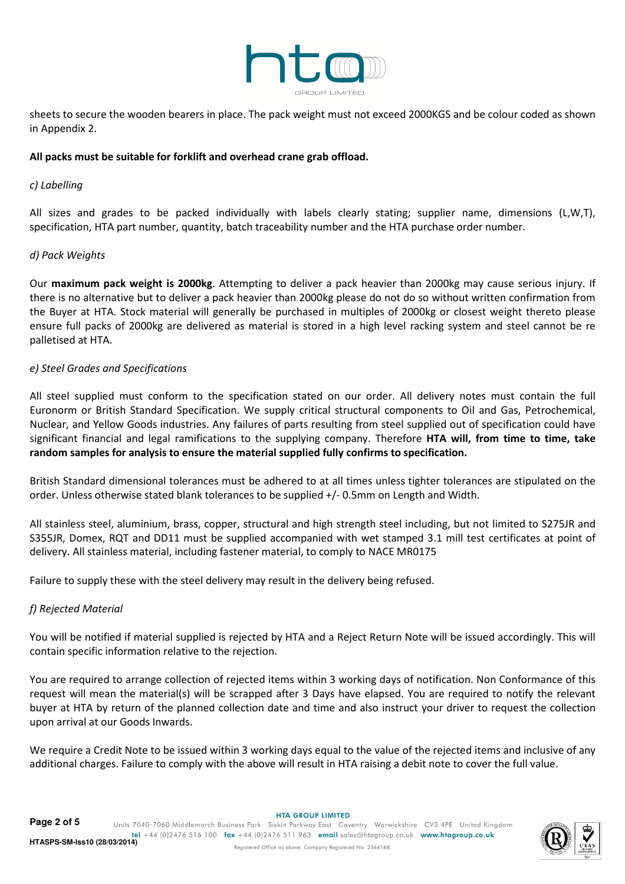

sheets to secure the wooden bearers in place. The pack weight must not exceed 2000KGS and be colour coded as shown in Appendix 2.

#### All packs must be suitable for forklift and overhead crane grab offload.

#### c) Labelling

All sizes and grades to be packed individually with labels clearly stating; supplier name, dimensions (L,W,T), specification, HTA part number, quantity, batch traceability number and the HTA purchase order number.

#### d) Pack Weights

Our maximum pack weight is 2000kg. Attempting to deliver a pack heavier than 2000kg may cause serious injury. If there is no alternative but to deliver a pack heavier than 2000kg please do not do so without written confirmation from the Buyer at HTA. Stock material will generally be purchased in multiples of 2000kg or closest weight thereto please ensure full packs of 2000kg are delivered as material is stored in a high level racking system and steel cannot be re palletised at HTA.

#### e) Steel Grades and Specifications

All steel supplied must conform to the specification stated on our order. All delivery notes must contain the full Euronorm or British Standard Specification. We supply critical structural components to Oil and Gas, Petrochemical, Nuclear, and Yellow Goods industries. Any failures of parts resulting from steel supplied out of specification could have significant financial and legal ramifications to the supplying company. Therefore HTA will, from time to time, take random samples for analysis to ensure the material supplied fully confirms to specification.

British Standard dimensional tolerances must be adhered to at all times unless tighter tolerances are stipulated on the order. Unless otherwise stated blank tolerances to be supplied +/- 0.5mm on Length and Width.

All stainless steel, aluminium, brass, copper, structural and high strength steel including, but not limited to S275JR and S355JR, Domex, RQT and DD11 must be supplied accompanied with wet stamped 3.1 mill test certificates at point of delivery. All stainless material, including fastener material, to comply to NACE MR0175

Failure to supply these with the steel delivery may result in the delivery being refused.

## f) Rejected Material

You will be notified if material supplied is rejected by HTA and a Reject Return Note will be issued accordingly. This will contain specific information relative to the rejection.

You are required to arrange collection of rejected items within 3 working days of notification. Non Conformance of this request will mean the material(s) will be scrapped after 3 Days have elapsed. You are required to notify the relevant buyer at HTA by return of the planned collection date and time and also instruct your driver to request the collection upon arrival at our Goods Inwards.

We require a Credit Note to be issued within 3 working days equal to the value of the rejected items and inclusive of any additional charges. Failure to comply with the above will result in HTA raising a debit note to cover the full value.

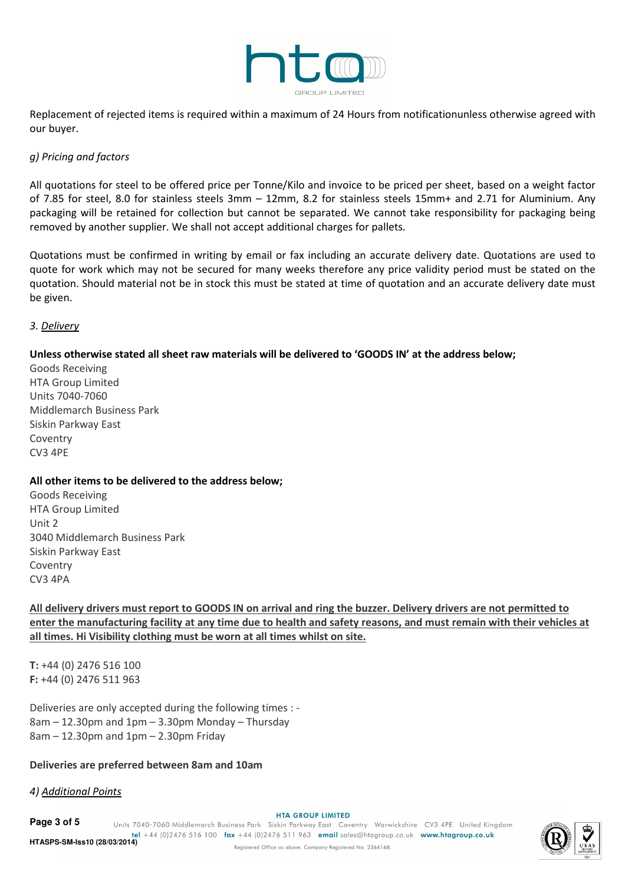

Replacement of rejected items is required within a maximum of 24 Hours from notificationunless otherwise agreed with our buyer.

#### g) Pricing and factors

All quotations for steel to be offered price per Tonne/Kilo and invoice to be priced per sheet, based on a weight factor of 7.85 for steel, 8.0 for stainless steels 3mm – 12mm, 8.2 for stainless steels 15mm+ and 2.71 for Aluminium. Any packaging will be retained for collection but cannot be separated. We cannot take responsibility for packaging being removed by another supplier. We shall not accept additional charges for pallets.

Quotations must be confirmed in writing by email or fax including an accurate delivery date. Quotations are used to quote for work which may not be secured for many weeks therefore any price validity period must be stated on the quotation. Should material not be in stock this must be stated at time of quotation and an accurate delivery date must be given.

#### 3. Delivery

## Unless otherwise stated all sheet raw materials will be delivered to 'GOODS IN' at the address below;

Goods Receiving HTA Group Limited Units 7040-7060 Middlemarch Business Park Siskin Parkway East Coventry CV3 4PE

## All other items to be delivered to the address below;

Goods Receiving HTA Group Limited Unit 2 3040 Middlemarch Business Park Siskin Parkway East Coventry CV3 4PA

All delivery drivers must report to GOODS IN on arrival and ring the buzzer. Delivery drivers are not permitted to enter the manufacturing facility at any time due to health and safety reasons, and must remain with their vehicles at all times. Hi Visibility clothing must be worn at all times whilst on site.

T: +44 (0) 2476 516 100 F: +44 (0) 2476 511 963

Deliveries are only accepted during the following times : - 8am – 12.30pm and 1pm – 3.30pm Monday – Thursday 8am – 12.30pm and 1pm – 2.30pm Friday

# Deliveries are preferred between 8am and 10am

# 4) Additional Points

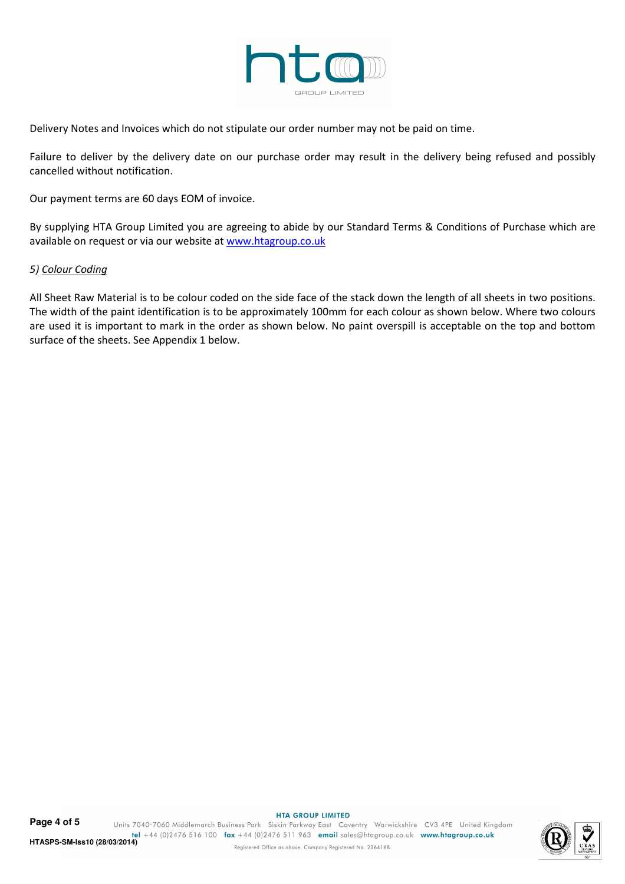

Delivery Notes and Invoices which do not stipulate our order number may not be paid on time.

Failure to deliver by the delivery date on our purchase order may result in the delivery being refused and possibly cancelled without notification.

Our payment terms are 60 days EOM of invoice.

By supplying HTA Group Limited you are agreeing to abide by our Standard Terms & Conditions of Purchase which are available on request or via our website at www.htagroup.co.uk

#### 5) Colour Coding

All Sheet Raw Material is to be colour coded on the side face of the stack down the length of all sheets in two positions. The width of the paint identification is to be approximately 100mm for each colour as shown below. Where two colours are used it is important to mark in the order as shown below. No paint overspill is acceptable on the top and bottom surface of the sheets. See Appendix 1 below.